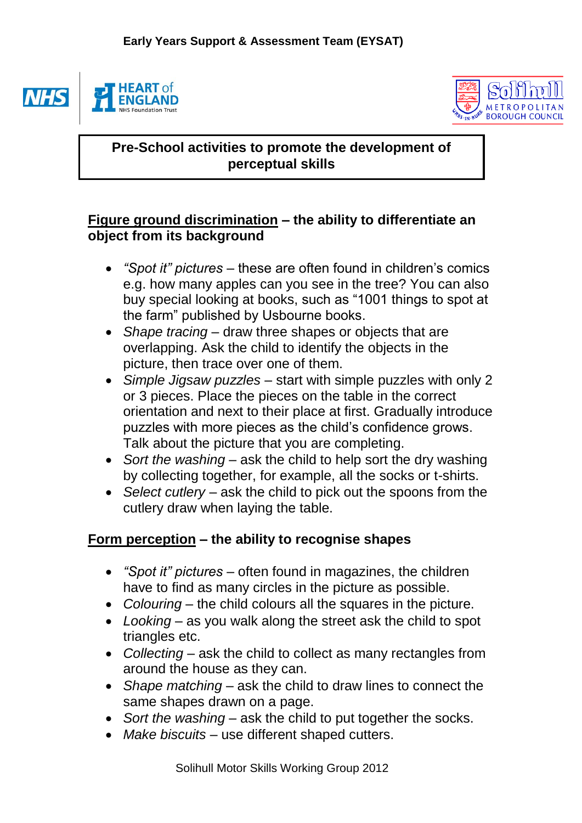

**NH** 



## **Pre-School activities to promote the development of perceptual skills**

## **Figure ground discrimination – the ability to differentiate an object from its background**

- *"Spot it" pictures* these are often found in children's comics e.g. how many apples can you see in the tree? You can also buy special looking at books, such as "1001 things to spot at the farm" published by Usbourne books.
- *Shape tracing* draw three shapes or objects that are overlapping. Ask the child to identify the objects in the picture, then trace over one of them.
- *Simple Jigsaw puzzles* start with simple puzzles with only 2 or 3 pieces. Place the pieces on the table in the correct orientation and next to their place at first. Gradually introduce puzzles with more pieces as the child's confidence grows. Talk about the picture that you are completing.
- *Sort the washing* ask the child to help sort the dry washing by collecting together, for example, all the socks or t-shirts.
- *Select cutlery* ask the child to pick out the spoons from the cutlery draw when laying the table.

## **Form perception – the ability to recognise shapes**

- *"Spot it" pictures* often found in magazines, the children have to find as many circles in the picture as possible.
- Colouring the child colours all the squares in the picture.
- *Looking* as you walk along the street ask the child to spot triangles etc.
- *Collecting*  ask the child to collect as many rectangles from around the house as they can.
- *Shape matching* ask the child to draw lines to connect the same shapes drawn on a page.
- *Sort the washing* ask the child to put together the socks.
- *Make biscuits* use different shaped cutters.